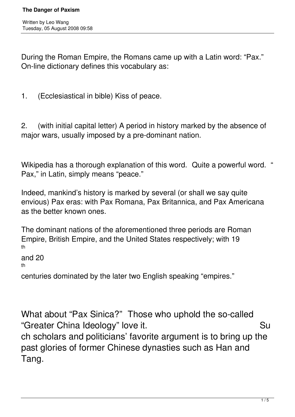During the Roman Empire, the Romans came up with a Latin word: "Pax." On-line dictionary defines this vocabulary as:

1. (Ecclesiastical in bible) Kiss of peace.

2. (with initial capital letter) A period in history marked by the absence of major wars, usually imposed by a pre-dominant nation.

Wikipedia has a thorough explanation of this word. Quite a powerful word. " Pax," in Latin, simply means "peace."

Indeed, mankind's history is marked by several (or shall we say quite envious) Pax eras: with Pax Romana, Pax Britannica, and Pax Americana as the better known ones.

The dominant nations of the aforementioned three periods are Roman Empire, British Empire, and the United States respectively; with 19 th

and 20

th

centuries dominated by the later two English speaking "empires."

What about "Pax Sinica?" Those who uphold the so-called "Greater China Ideology" love it. **Summer System China Ideology**" love it. ch scholars and politicians' favorite argument is to bring up the past glories of former Chinese dynasties such as Han and Tang.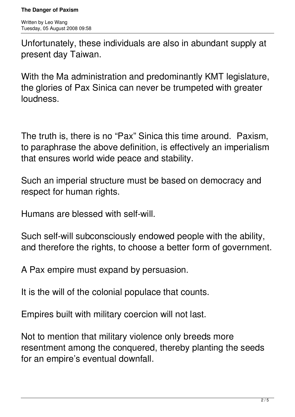Unfortunately, these individuals are also in abundant supply at present day Taiwan.

With the Ma administration and predominantly KMT legislature, the glories of Pax Sinica can never be trumpeted with greater loudness.

The truth is, there is no "Pax" Sinica this time around. Paxism, to paraphrase the above definition, is effectively an imperialism that ensures world wide peace and stability.

Such an imperial structure must be based on democracy and respect for human rights.

Humans are blessed with self-will.

Such self-will subconsciously endowed people with the ability, and therefore the rights, to choose a better form of government.

A Pax empire must expand by persuasion.

It is the will of the colonial populace that counts.

Empires built with military coercion will not last.

Not to mention that military violence only breeds more resentment among the conquered, thereby planting the seeds for an empire's eventual downfall.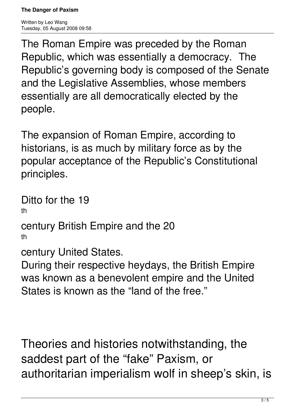**The Danger of Paxism**

Written by Leo Wang Tuesday, 05 August 2008 09:58

The Roman Empire was preceded by the Roman Republic, which was essentially a democracy. The Republic's governing body is composed of the Senate and the Legislative Assemblies, whose members essentially are all democratically elected by the people.

The expansion of Roman Empire, according to historians, is as much by military force as by the popular acceptance of the Republic's Constitutional principles.

Ditto for the 19 th

century British Empire and the 20 th

century United States.

During their respective heydays, the British Empire was known as a benevolent empire and the United States is known as the "land of the free."

Theories and histories notwithstanding, the saddest part of the "fake" Paxism, or authoritarian imperialism wolf in sheep's skin, is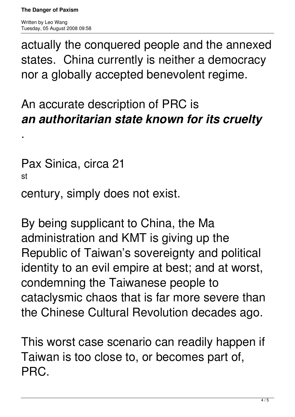.

actually the conquered people and the annexed states. China currently is neither a democracy nor a globally accepted benevolent regime.

## An accurate description of PRC is *an authoritarian state known for its cruelty*

Pax Sinica, circa 21 st

century, simply does not exist.

By being supplicant to China, the Ma administration and KMT is giving up the Republic of Taiwan's sovereignty and political identity to an evil empire at best; and at worst, condemning the Taiwanese people to cataclysmic chaos that is far more severe than the Chinese Cultural Revolution decades ago.

This worst case scenario can readily happen if Taiwan is too close to, or becomes part of, PRC.